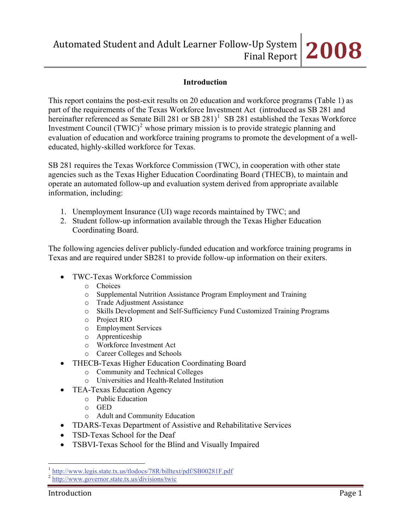## **Introduction**

This report contains the post-exit results on 20 education and workforce programs (Table 1) as part of the requirements of the Texas Workforce Investment Act (introduced as SB 281 and hereinafter referenced as Senate Bill 28[1](#page-0-0) or SB 281 $)$ <sup>1</sup> SB 281 established the Texas Workforce Investment Council  $(TWIC)^2$  $(TWIC)^2$  whose primary mission is to provide strategic planning and evaluation of education and workforce training programs to promote the development of a welleducated, highly-skilled workforce for Texas.

SB 281 requires the Texas Workforce Commission (TWC), in cooperation with other state agencies such as the Texas Higher Education Coordinating Board (THECB), to maintain and operate an automated follow-up and evaluation system derived from appropriate available information, including:

- 1. Unemployment Insurance (UI) wage records maintained by TWC; and
- 2. Student follow-up information available through the Texas Higher Education Coordinating Board.

The following agencies deliver publicly-funded education and workforce training programs in Texas and are required under SB281 to provide follow-up information on their exiters.

- TWC-Texas Workforce Commission
	- o Choices
	- o Supplemental Nutrition Assistance Program Employment and Training
	- o Trade Adjustment Assistance
	- o Skills Development and Self-Sufficiency Fund Customized Training Programs
	- o Project RIO
	- o Employment Services
	- o Apprenticeship
	- o Workforce Investment Act
	- o Career Colleges and Schools
- THECB-Texas Higher Education Coordinating Board
	- o Community and Technical Colleges
	- o Universities and Health-Related Institution
- TEA-Texas Education Agency
	- o Public Education
	- o GED
	- o Adult and Community Education
- TDARS-Texas Department of Assistive and Rehabilitative Services
- TSD-Texas School for the Deaf
- TSBVI-Texas School for the Blind and Visually Impaired

 $\overline{a}$ 

<span id="page-0-0"></span><sup>1</sup> <http://www.legis.state.tx.us/tlodocs/78R/billtext/pdf/SB00281F.pdf> <sup>2</sup> <http://www.governor.state.tx.us/divisions/twic>

<span id="page-0-1"></span>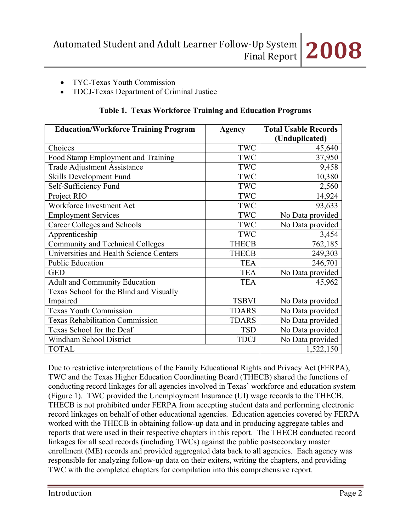# • TYC-Texas Youth Commission

• TDCJ-Texas Department of Criminal Justice

| <b>Education/Workforce Training Program</b> | <b>Agency</b> | <b>Total Usable Records</b><br>(Unduplicated) |
|---------------------------------------------|---------------|-----------------------------------------------|
| Choices                                     | TWC           | 45,640                                        |
| Food Stamp Employment and Training          | TWC           | 37,950                                        |
| <b>Trade Adjustment Assistance</b>          | TWC           | 9,458                                         |
| Skills Development Fund                     | TWC           | 10,380                                        |
| Self-Sufficiency Fund                       | <b>TWC</b>    | 2,560                                         |
| Project RIO                                 | <b>TWC</b>    | 14,924                                        |
| Workforce Investment Act                    | TWC           | 93,633                                        |
| <b>Employment Services</b>                  | TWC           | No Data provided                              |
| Career Colleges and Schools                 | TWC           | No Data provided                              |
| Apprenticeship                              | TWC           | 3,454                                         |
| <b>Community and Technical Colleges</b>     | <b>THECB</b>  | 762,185                                       |
| Universities and Health Science Centers     | <b>THECB</b>  | 249,303                                       |
| <b>Public Education</b>                     | <b>TEA</b>    | 246,701                                       |
| <b>GED</b>                                  | <b>TEA</b>    | No Data provided                              |
| <b>Adult and Community Education</b>        | <b>TEA</b>    | 45,962                                        |
| Texas School for the Blind and Visually     |               |                                               |
| Impaired                                    | <b>TSBVI</b>  | No Data provided                              |
| <b>Texas Youth Commission</b>               | <b>TDARS</b>  | No Data provided                              |
| Texas Rehabilitation Commission             | <b>TDARS</b>  | No Data provided                              |
| Texas School for the Deaf                   | <b>TSD</b>    | No Data provided                              |
| Windham School District                     | <b>TDCJ</b>   | No Data provided                              |
| <b>TOTAL</b>                                |               | 1,522,150                                     |

## **Table 1. Texas Workforce Training and Education Programs**

Due to restrictive interpretations of the Family Educational Rights and Privacy Act (FERPA), TWC and the Texas Higher Education Coordinating Board (THECB) shared the functions of conducting record linkages for all agencies involved in Texas' workforce and education system (Figure 1). TWC provided the Unemployment Insurance (UI) wage records to the THECB. THECB is not prohibited under FERPA from accepting student data and performing electronic record linkages on behalf of other educational agencies. Education agencies covered by FERPA worked with the THECB in obtaining follow-up data and in producing aggregate tables and reports that were used in their respective chapters in this report. The THECB conducted record linkages for all seed records (including TWCs) against the public postsecondary master enrollment (ME) records and provided aggregated data back to all agencies. Each agency was responsible for analyzing follow-up data on their exiters, writing the chapters, and providing TWC with the completed chapters for compilation into this comprehensive report.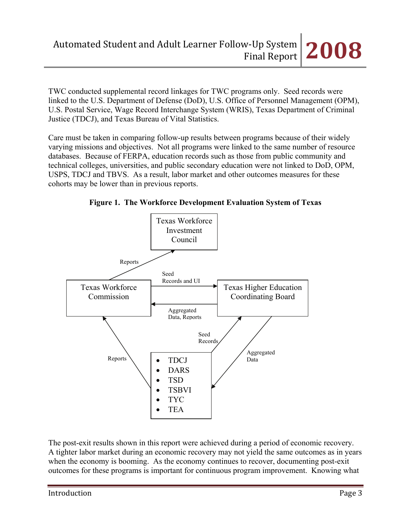TWC conducted supplemental record linkages for TWC programs only. Seed records were linked to the U.S. Department of Defense (DoD), U.S. Office of Personnel Management (OPM), U.S. Postal Service, Wage Record Interchange System (WRIS), Texas Department of Criminal Justice (TDCJ), and Texas Bureau of Vital Statistics.

Care must be taken in comparing follow-up results between programs because of their widely varying missions and objectives. Not all programs were linked to the same number of resource databases. Because of FERPA, education records such as those from public community and technical colleges, universities, and public secondary education were not linked to DoD, OPM, USPS, TDCJ and TBVS. As a result, labor market and other outcomes measures for these cohorts may be lower than in previous reports.





The post-exit results shown in this report were achieved during a period of economic recovery. A tighter labor market during an economic recovery may not yield the same outcomes as in years when the economy is booming. As the economy continues to recover, documenting post-exit outcomes for these programs is important for continuous program improvement. Knowing what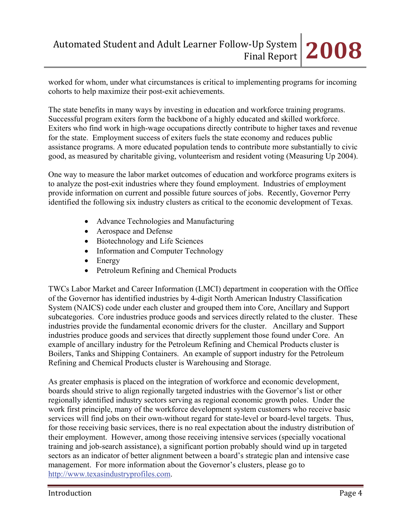worked for whom, under what circumstances is critical to implementing programs for incoming cohorts to help maximize their post-exit achievements.

The state benefits in many ways by investing in education and workforce training programs. Successful program exiters form the backbone of a highly educated and skilled workforce. Exiters who find work in high-wage occupations directly contribute to higher taxes and revenue for the state. Employment success of exiters fuels the state economy and reduces public assistance programs. A more educated population tends to contribute more substantially to civic good, as measured by charitable giving, volunteerism and resident voting (Measuring Up 2004).

One way to measure the labor market outcomes of education and workforce programs exiters is to analyze the post-exit industries where they found employment. Industries of employment provide information on current and possible future sources of jobs. Recently, Governor Perry identified the following six industry clusters as critical to the economic development of Texas.

- Advance Technologies and Manufacturing
- Aerospace and Defense
- Biotechnology and Life Sciences
- Information and Computer Technology
- Energy
- Petroleum Refining and Chemical Products

TWCs Labor Market and Career Information (LMCI) department in cooperation with the Office of the Governor has identified industries by 4-digit North American Industry Classification System (NAICS) code under each cluster and grouped them into Core, Ancillary and Support subcategories. Core industries produce goods and services directly related to the cluster. These industries provide the fundamental economic drivers for the cluster. Ancillary and Support industries produce goods and services that directly supplement those found under Core. An example of ancillary industry for the Petroleum Refining and Chemical Products cluster is Boilers, Tanks and Shipping Containers. An example of support industry for the Petroleum Refining and Chemical Products cluster is Warehousing and Storage.

As greater emphasis is placed on the integration of workforce and economic development, boards should strive to align regionally targeted industries with the Governor's list or other regionally identified industry sectors serving as regional economic growth poles. Under the work first principle, many of the workforce development system customers who receive basic services will find jobs on their own-without regard for state-level or board-level targets. Thus, for those receiving basic services, there is no real expectation about the industry distribution of their employment. However, among those receiving intensive services (specially vocational training and job-search assistance), a significant portion probably should wind up in targeted sectors as an indicator of better alignment between a board's strategic plan and intensive case management. For more information about the Governor's clusters, please go to [http://www.texasindustryprofiles.com.](http://www.texasindustryprofiles.com/)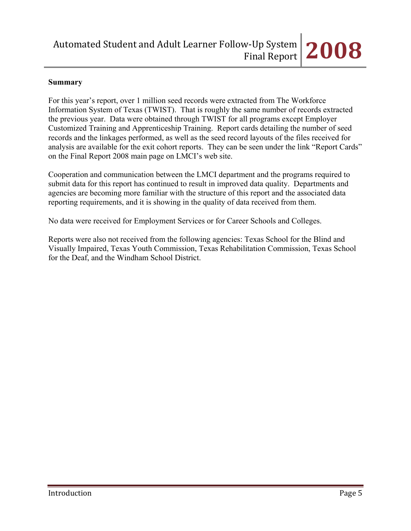## **Summary**

For this year's report, over 1 million seed records were extracted from The Workforce Information System of Texas (TWIST). That is roughly the same number of records extracted the previous year. Data were obtained through TWIST for all programs except Employer Customized Training and Apprenticeship Training. Report cards detailing the number of seed records and the linkages performed, as well as the seed record layouts of the files received for analysis are available for the exit cohort reports. They can be seen under the link "Report Cards" on the Final Report 2008 main page on LMCI's web site.

Cooperation and communication between the LMCI department and the programs required to submit data for this report has continued to result in improved data quality. Departments and agencies are becoming more familiar with the structure of this report and the associated data reporting requirements, and it is showing in the quality of data received from them.

No data were received for Employment Services or for Career Schools and Colleges.

Reports were also not received from the following agencies: Texas School for the Blind and Visually Impaired, Texas Youth Commission, Texas Rehabilitation Commission, Texas School for the Deaf, and the Windham School District.